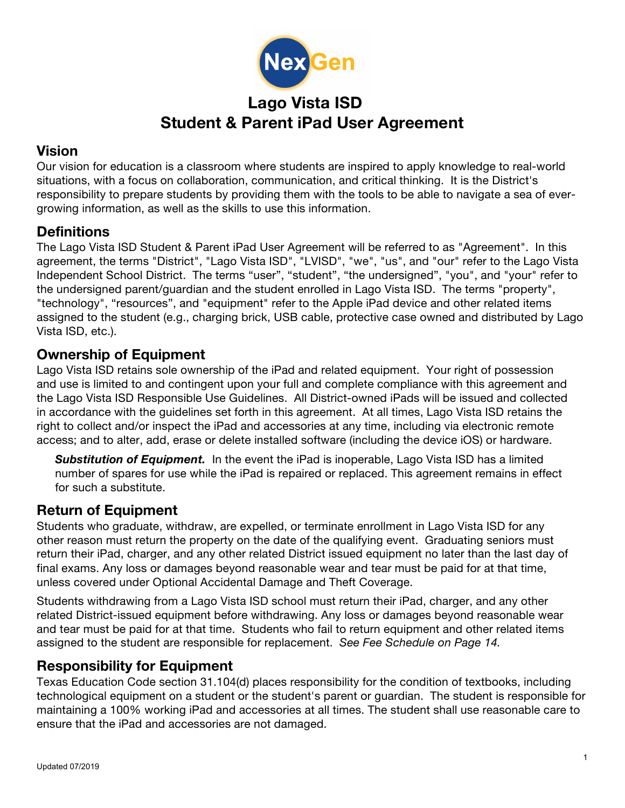

## **Lago Vista ISD Student & Parent iPad User Agreement**

## **Vision**

Our vision for education is a classroom where students are inspired to apply knowledge to real-world situations, with a focus on collaboration, communication, and critical thinking. It is the District's responsibility to prepare students by providing them with the tools to be able to navigate a sea of evergrowing information, as well as the skills to use this information.

## **Definitions**

The Lago Vista ISD Student & Parent iPad User Agreement will be referred to as "Agreement". In this agreement, the terms "District", "Lago Vista ISD", "LVISD", "we", "us", and "our" refer to the Lago Vista Independent School District. The terms "user", "student", "the undersigned", "you", and "your" refer to the undersigned parent/guardian and the student enrolled in Lago Vista ISD. The terms "property", "technology", "resources", and "equipment" refer to the Apple iPad device and other related items assigned to the student (e.g., charging brick, USB cable, protective case owned and distributed by Lago Vista ISD, etc.).

## **Ownership of Equipment**

Lago Vista ISD retains sole ownership of the iPad and related equipment. Your right of possession and use is limited to and contingent upon your full and complete compliance with this agreement and the Lago Vista ISD Responsible Use Guidelines. All District-owned iPads will be issued and collected in accordance with the guidelines set forth in this agreement. At all times, Lago Vista ISD retains the right to collect and/or inspect the iPad and accessories at any time, including via electronic remote access; and to alter, add, erase or delete installed software (including the device iOS) or hardware.

**Substitution of Equipment.** In the event the iPad is inoperable, Lago Vista ISD has a limited number of spares for use while the iPad is repaired or replaced. This agreement remains in effect for such a substitute.

## **Return of Equipment**

Students who graduate, withdraw, are expelled, or terminate enrollment in Lago Vista ISD for any other reason must return the property on the date of the qualifying event. Graduating seniors must return their iPad, charger, and any other related District issued equipment no later than the last day of final exams. Any loss or damages beyond reasonable wear and tear must be paid for at that time, unless covered under Optional Accidental Damage and Theft Coverage.

Students withdrawing from a Lago Vista ISD school must return their iPad, charger, and any other related District-issued equipment before withdrawing. Any loss or damages beyond reasonable wear and tear must be paid for at that time. Students who fail to return equipment and other related items assigned to the student are responsible for replacement. *See Fee Schedule on Page 14.*

## **Responsibility for Equipment**

Texas Education Code section 31.104(d) places responsibility for the condition of textbooks, including technological equipment on a student or the student's parent or guardian. The student is responsible for maintaining a 100% working iPad and accessories at all times. The student shall use reasonable care to ensure that the iPad and accessories are not damaged.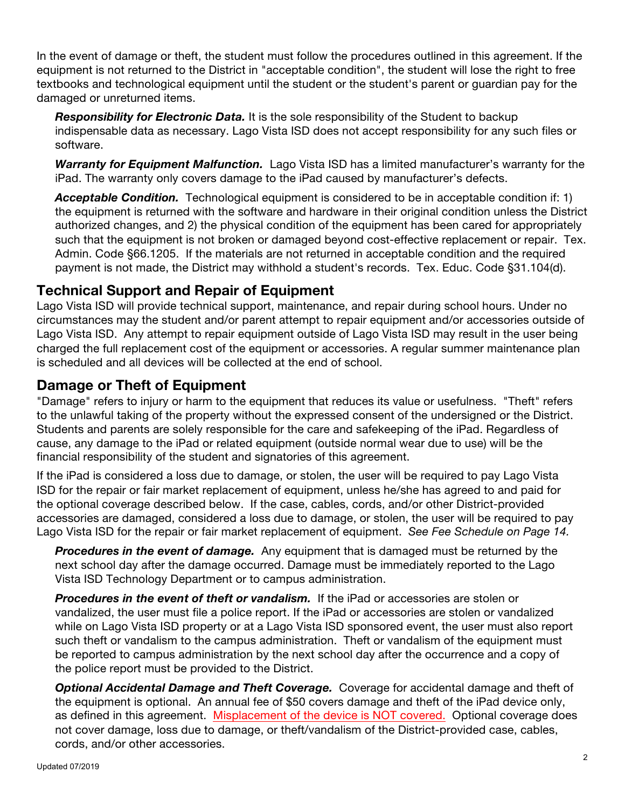In the event of damage or theft, the student must follow the procedures outlined in this agreement. If the equipment is not returned to the District in "acceptable condition", the student will lose the right to free textbooks and technological equipment until the student or the student's parent or guardian pay for the damaged or unreturned items.

*Responsibility for Electronic Data.* It is the sole responsibility of the Student to backup indispensable data as necessary. Lago Vista ISD does not accept responsibility for any such files or software.

*Warranty for Equipment Malfunction.* Lago Vista ISD has a limited manufacturer's warranty for the iPad. The warranty only covers damage to the iPad caused by manufacturer's defects.

Acceptable Condition. Technological equipment is considered to be in acceptable condition if: 1) the equipment is returned with the software and hardware in their original condition unless the District authorized changes, and 2) the physical condition of the equipment has been cared for appropriately such that the equipment is not broken or damaged beyond cost-effective replacement or repair. Tex. Admin. Code §66.1205. If the materials are not returned in acceptable condition and the required payment is not made, the District may withhold a student's records. Tex. Educ. Code §31.104(d).

## **Technical Support and Repair of Equipment**

Lago Vista ISD will provide technical support, maintenance, and repair during school hours. Under no circumstances may the student and/or parent attempt to repair equipment and/or accessories outside of Lago Vista ISD. Any attempt to repair equipment outside of Lago Vista ISD may result in the user being charged the full replacement cost of the equipment or accessories. A regular summer maintenance plan is scheduled and all devices will be collected at the end of school.

## **Damage or Theft of Equipment**

"Damage" refers to injury or harm to the equipment that reduces its value or usefulness. "Theft" refers to the unlawful taking of the property without the expressed consent of the undersigned or the District. Students and parents are solely responsible for the care and safekeeping of the iPad. Regardless of cause, any damage to the iPad or related equipment (outside normal wear due to use) will be the financial responsibility of the student and signatories of this agreement.

If the iPad is considered a loss due to damage, or stolen, the user will be required to pay Lago Vista ISD for the repair or fair market replacement of equipment, unless he/she has agreed to and paid for the optional coverage described below. If the case, cables, cords, and/or other District-provided accessories are damaged, considered a loss due to damage, or stolen, the user will be required to pay Lago Vista ISD for the repair or fair market replacement of equipment. *See Fee Schedule on Page 14.*

**Procedures in the event of damage.** Any equipment that is damaged must be returned by the next school day after the damage occurred. Damage must be immediately reported to the Lago Vista ISD Technology Department or to campus administration.

*Procedures in the event of theft or vandalism.* If the iPad or accessories are stolen or vandalized, the user must file a police report. If the iPad or accessories are stolen or vandalized while on Lago Vista ISD property or at a Lago Vista ISD sponsored event, the user must also report such theft or vandalism to the campus administration. Theft or vandalism of the equipment must be reported to campus administration by the next school day after the occurrence and a copy of the police report must be provided to the District.

*Optional Accidental Damage and Theft Coverage.* Coverage for accidental damage and theft of the equipment is optional. An annual fee of \$50 covers damage and theft of the iPad device only, as defined in this agreement. Misplacement of the device is NOT covered. Optional coverage does not cover damage, loss due to damage, or theft/vandalism of the District-provided case, cables, cords, and/or other accessories.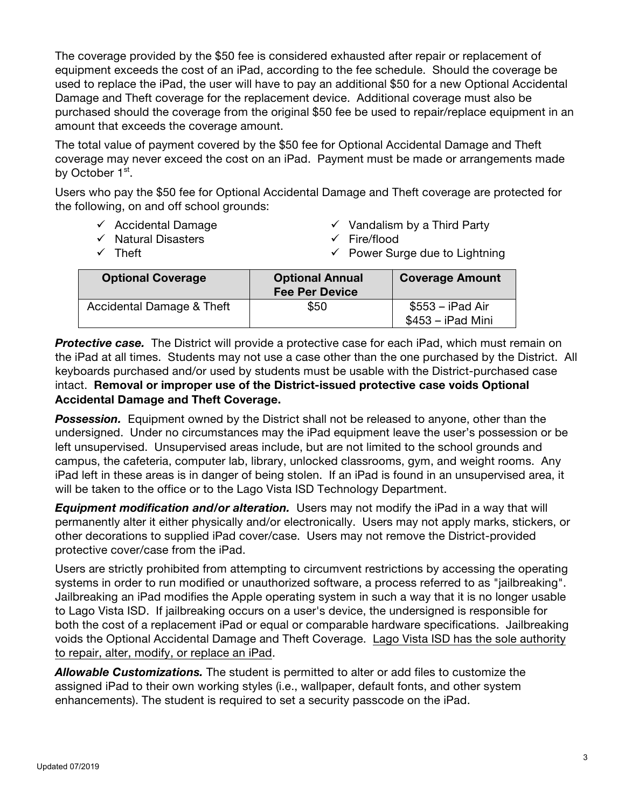The coverage provided by the \$50 fee is considered exhausted after repair or replacement of equipment exceeds the cost of an iPad, according to the fee schedule. Should the coverage be used to replace the iPad, the user will have to pay an additional \$50 for a new Optional Accidental Damage and Theft coverage for the replacement device. Additional coverage must also be purchased should the coverage from the original \$50 fee be used to repair/replace equipment in an amount that exceeds the coverage amount.

The total value of payment covered by the \$50 fee for Optional Accidental Damage and Theft coverage may never exceed the cost on an iPad. Payment must be made or arrangements made by October 1<sup>st</sup>.

Users who pay the \$50 fee for Optional Accidental Damage and Theft coverage are protected for the following, on and off school grounds:

- $\checkmark$  Accidental Damage
- $\checkmark$  Natural Disasters

 $\checkmark$  Theft

- $\checkmark$  Vandalism by a Third Party
- $\checkmark$  Fire/flood
- $\checkmark$  Power Surge due to Lightning

| <b>Optional Coverage</b>  | <b>Optional Annual</b><br><b>Fee Per Device</b> | <b>Coverage Amount</b>                    |
|---------------------------|-------------------------------------------------|-------------------------------------------|
| Accidental Damage & Theft | \$50                                            | $$553 - i$ Pad Air<br>$$453 - i$ Pad Mini |

**Protective case.** The District will provide a protective case for each iPad, which must remain on the iPad at all times. Students may not use a case other than the one purchased by the District. All keyboards purchased and/or used by students must be usable with the District-purchased case intact. **Removal or improper use of the District-issued protective case voids Optional Accidental Damage and Theft Coverage.**

**Possession.** Equipment owned by the District shall not be released to anyone, other than the undersigned. Under no circumstances may the iPad equipment leave the user's possession or be left unsupervised. Unsupervised areas include, but are not limited to the school grounds and campus, the cafeteria, computer lab, library, unlocked classrooms, gym, and weight rooms. Any iPad left in these areas is in danger of being stolen. If an iPad is found in an unsupervised area, it will be taken to the office or to the Lago Vista ISD Technology Department.

*Equipment modification and/or alteration.* Users may not modify the iPad in a way that will permanently alter it either physically and/or electronically. Users may not apply marks, stickers, or other decorations to supplied iPad cover/case. Users may not remove the District-provided protective cover/case from the iPad.

Users are strictly prohibited from attempting to circumvent restrictions by accessing the operating systems in order to run modified or unauthorized software, a process referred to as "jailbreaking". Jailbreaking an iPad modifies the Apple operating system in such a way that it is no longer usable to Lago Vista ISD. If jailbreaking occurs on a user's device, the undersigned is responsible for both the cost of a replacement iPad or equal or comparable hardware specifications. Jailbreaking voids the Optional Accidental Damage and Theft Coverage. Lago Vista ISD has the sole authority to repair, alter, modify, or replace an iPad.

*Allowable Customizations.* The student is permitted to alter or add files to customize the assigned iPad to their own working styles (i.e., wallpaper, default fonts, and other system enhancements). The student is required to set a security passcode on the iPad.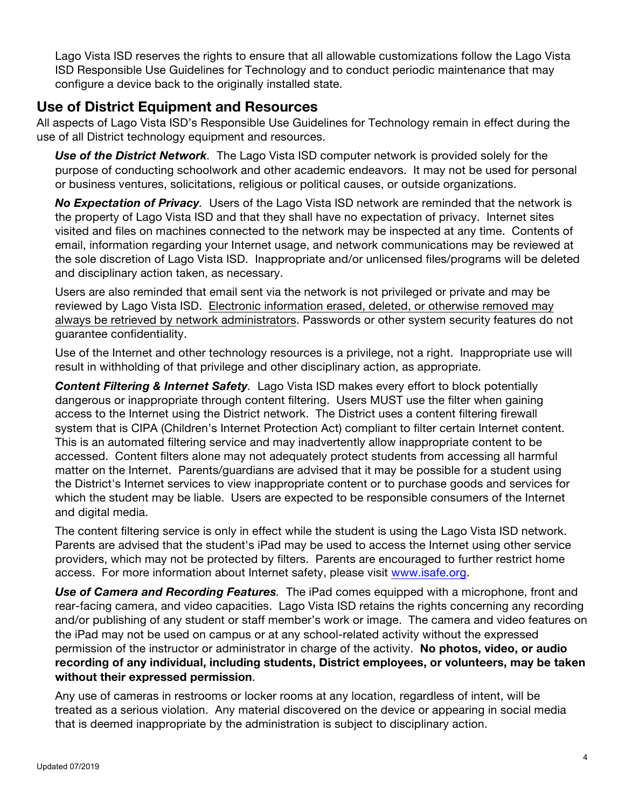Lago Vista ISD reserves the rights to ensure that all allowable customizations follow the Lago Vista ISD Responsible Use Guidelines for Technology and to conduct periodic maintenance that may configure a device back to the originally installed state.

#### **Use of District Equipment and Resources**

All aspects of Lago Vista ISD's Responsible Use Guidelines for Technology remain in effect during the use of all District technology equipment and resources.

*Use of the District Network.* The Lago Vista ISD computer network is provided solely for the purpose of conducting schoolwork and other academic endeavors. It may not be used for personal or business ventures, solicitations, religious or political causes, or outside organizations.

*No Expectation of Privacy.* Users of the Lago Vista ISD network are reminded that the network is the property of Lago Vista ISD and that they shall have no expectation of privacy. Internet sites visited and files on machines connected to the network may be inspected at any time. Contents of email, information regarding your Internet usage, and network communications may be reviewed at the sole discretion of Lago Vista ISD. Inappropriate and/or unlicensed files/programs will be deleted and disciplinary action taken, as necessary.

Users are also reminded that email sent via the network is not privileged or private and may be reviewed by Lago Vista ISD. Electronic information erased, deleted, or otherwise removed may always be retrieved by network administrators. Passwords or other system security features do not guarantee confidentiality.

Use of the Internet and other technology resources is a privilege, not a right. Inappropriate use will result in withholding of that privilege and other disciplinary action, as appropriate.

*Content Filtering & Internet Safety.* Lago Vista ISD makes every effort to block potentially dangerous or inappropriate through content filtering. Users MUST use the filter when gaining access to the Internet using the District network. The District uses a content filtering firewall system that is CIPA (Children's Internet Protection Act) compliant to filter certain Internet content. This is an automated filtering service and may inadvertently allow inappropriate content to be accessed. Content filters alone may not adequately protect students from accessing all harmful matter on the Internet. Parents/guardians are advised that it may be possible for a student using the District's Internet services to view inappropriate content or to purchase goods and services for which the student may be liable. Users are expected to be responsible consumers of the Internet and digital media.

The content filtering service is only in effect while the student is using the Lago Vista ISD network. Parents are advised that the student's iPad may be used to access the Internet using other service providers, which may not be protected by filters. Parents are encouraged to further restrict home access. For more information about Internet safety, please visit www.isafe.org.

*Use of Camera and Recording Features.* The iPad comes equipped with a microphone, front and rear-facing camera, and video capacities. Lago Vista ISD retains the rights concerning any recording and/or publishing of any student or staff member's work or image. The camera and video features on the iPad may not be used on campus or at any school-related activity without the expressed permission of the instructor or administrator in charge of the activity. **No photos, video, or audio recording of any individual, including students, District employees, or volunteers, may be taken without their expressed permission**.

Any use of cameras in restrooms or locker rooms at any location, regardless of intent, will be treated as a serious violation. Any material discovered on the device or appearing in social media that is deemed inappropriate by the administration is subject to disciplinary action.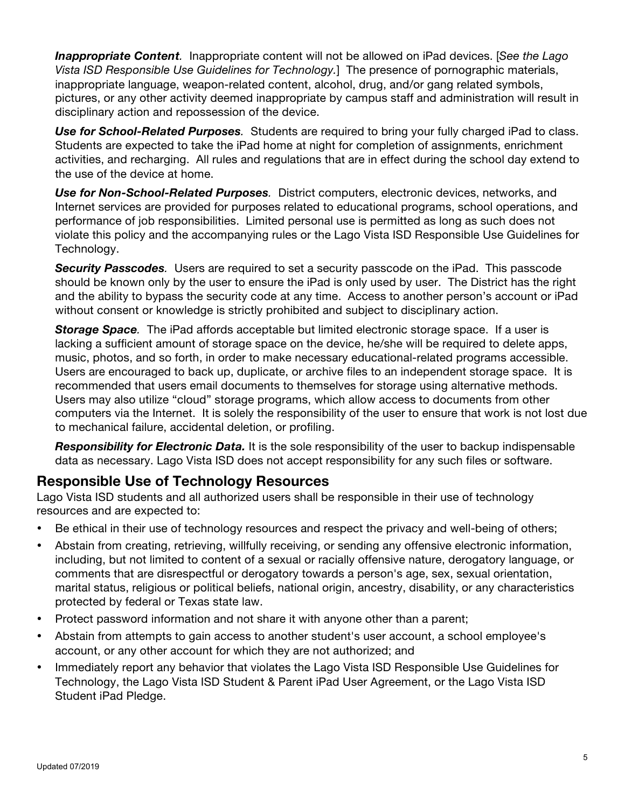*Inappropriate Content.* Inappropriate content will not be allowed on iPad devices. [*See the Lago Vista ISD Responsible Use Guidelines for Technology.*] The presence of pornographic materials, inappropriate language, weapon-related content, alcohol, drug, and/or gang related symbols, pictures, or any other activity deemed inappropriate by campus staff and administration will result in disciplinary action and repossession of the device.

*Use for School-Related Purposes.* Students are required to bring your fully charged iPad to class. Students are expected to take the iPad home at night for completion of assignments, enrichment activities, and recharging. All rules and regulations that are in effect during the school day extend to the use of the device at home.

*Use for Non-School-Related Purposes.* District computers, electronic devices, networks, and Internet services are provided for purposes related to educational programs, school operations, and performance of job responsibilities. Limited personal use is permitted as long as such does not violate this policy and the accompanying rules or the Lago Vista ISD Responsible Use Guidelines for Technology.

*Security Passcodes.* Users are required to set a security passcode on the iPad. This passcode should be known only by the user to ensure the iPad is only used by user. The District has the right and the ability to bypass the security code at any time. Access to another person's account or iPad without consent or knowledge is strictly prohibited and subject to disciplinary action.

*Storage Space.* The iPad affords acceptable but limited electronic storage space. If a user is lacking a sufficient amount of storage space on the device, he/she will be required to delete apps, music, photos, and so forth, in order to make necessary educational-related programs accessible. Users are encouraged to back up, duplicate, or archive files to an independent storage space. It is recommended that users email documents to themselves for storage using alternative methods. Users may also utilize "cloud" storage programs, which allow access to documents from other computers via the Internet. It is solely the responsibility of the user to ensure that work is not lost due to mechanical failure, accidental deletion, or profiling.

*Responsibility for Electronic Data.* It is the sole responsibility of the user to backup indispensable data as necessary. Lago Vista ISD does not accept responsibility for any such files or software.

## **Responsible Use of Technology Resources**

Lago Vista ISD students and all authorized users shall be responsible in their use of technology resources and are expected to:

- Be ethical in their use of technology resources and respect the privacy and well-being of others;
- Abstain from creating, retrieving, willfully receiving, or sending any offensive electronic information, including, but not limited to content of a sexual or racially offensive nature, derogatory language, or comments that are disrespectful or derogatory towards a person's age, sex, sexual orientation, marital status, religious or political beliefs, national origin, ancestry, disability, or any characteristics protected by federal or Texas state law.
- Protect password information and not share it with anyone other than a parent;
- Abstain from attempts to gain access to another student's user account, a school employee's account, or any other account for which they are not authorized; and
- Immediately report any behavior that violates the Lago Vista ISD Responsible Use Guidelines for Technology, the Lago Vista ISD Student & Parent iPad User Agreement, or the Lago Vista ISD Student iPad Pledge.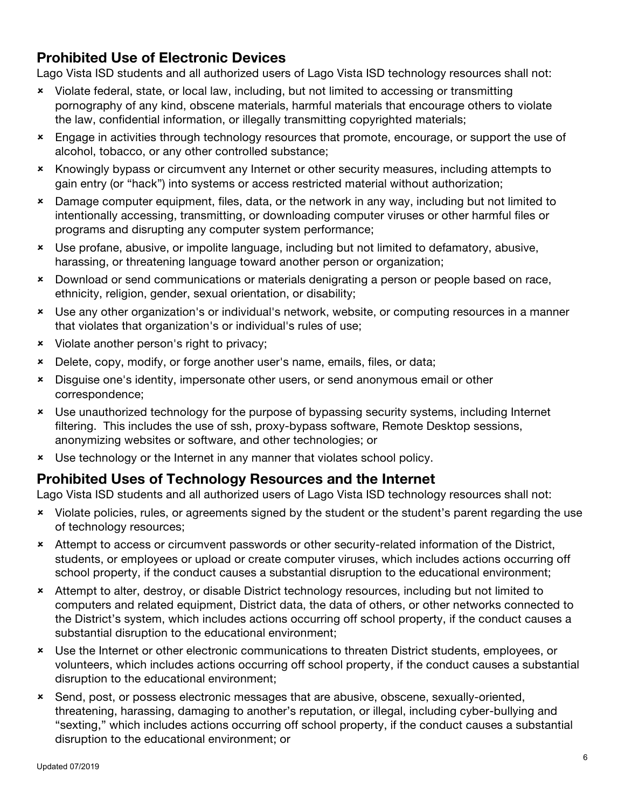## **Prohibited Use of Electronic Devices**

Lago Vista ISD students and all authorized users of Lago Vista ISD technology resources shall not:

- û Violate federal, state, or local law, including, but not limited to accessing or transmitting pornography of any kind, obscene materials, harmful materials that encourage others to violate the law, confidential information, or illegally transmitting copyrighted materials;
- û Engage in activities through technology resources that promote, encourage, or support the use of alcohol, tobacco, or any other controlled substance;
- û Knowingly bypass or circumvent any Internet or other security measures, including attempts to gain entry (or "hack") into systems or access restricted material without authorization;
- \* Damage computer equipment, files, data, or the network in any way, including but not limited to intentionally accessing, transmitting, or downloading computer viruses or other harmful files or programs and disrupting any computer system performance;
- û Use profane, abusive, or impolite language, including but not limited to defamatory, abusive, harassing, or threatening language toward another person or organization;
- û Download or send communications or materials denigrating a person or people based on race, ethnicity, religion, gender, sexual orientation, or disability;
- û Use any other organization's or individual's network, website, or computing resources in a manner that violates that organization's or individual's rules of use;
- û Violate another person's right to privacy;
- û Delete, copy, modify, or forge another user's name, emails, files, or data;
- \* Disguise one's identity, impersonate other users, or send anonymous email or other correspondence;
- \* Use unauthorized technology for the purpose of bypassing security systems, including Internet filtering. This includes the use of ssh, proxy-bypass software, Remote Desktop sessions, anonymizing websites or software, and other technologies; or
- **x** Use technology or the Internet in any manner that violates school policy.

## **Prohibited Uses of Technology Resources and the Internet**

Lago Vista ISD students and all authorized users of Lago Vista ISD technology resources shall not:

- \* Violate policies, rules, or agreements signed by the student or the student's parent regarding the use of technology resources;
- û Attempt to access or circumvent passwords or other security-related information of the District, students, or employees or upload or create computer viruses, which includes actions occurring off school property, if the conduct causes a substantial disruption to the educational environment;
- û Attempt to alter, destroy, or disable District technology resources, including but not limited to computers and related equipment, District data, the data of others, or other networks connected to the District's system, which includes actions occurring off school property, if the conduct causes a substantial disruption to the educational environment;
- û Use the Internet or other electronic communications to threaten District students, employees, or volunteers, which includes actions occurring off school property, if the conduct causes a substantial disruption to the educational environment;
- û Send, post, or possess electronic messages that are abusive, obscene, sexually-oriented, threatening, harassing, damaging to another's reputation, or illegal, including cyber-bullying and "sexting," which includes actions occurring off school property, if the conduct causes a substantial disruption to the educational environment; or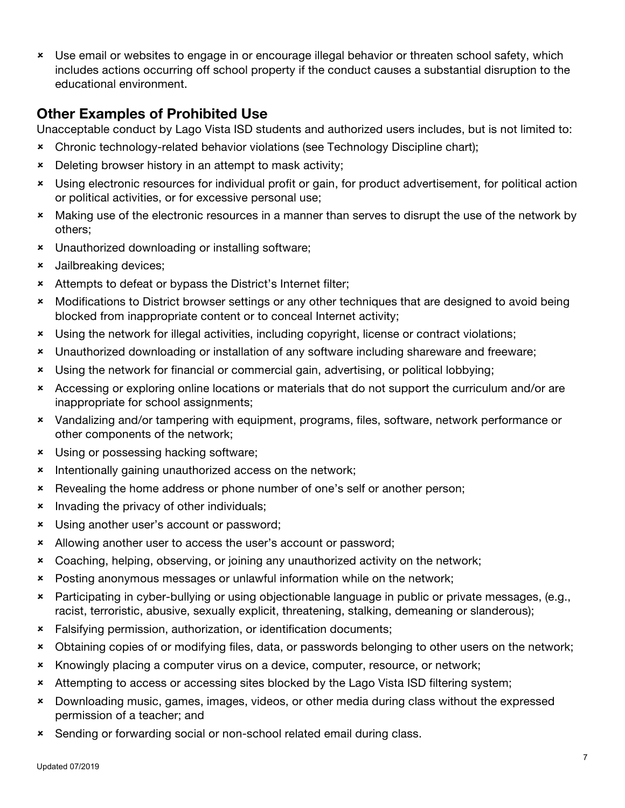û Use email or websites to engage in or encourage illegal behavior or threaten school safety, which includes actions occurring off school property if the conduct causes a substantial disruption to the educational environment.

## **Other Examples of Prohibited Use**

Unacceptable conduct by Lago Vista ISD students and authorized users includes, but is not limited to:

- û Chronic technology-related behavior violations (see Technology Discipline chart);
- **\*** Deleting browser history in an attempt to mask activity;
- û Using electronic resources for individual profit or gain, for product advertisement, for political action or political activities, or for excessive personal use;
- û Making use of the electronic resources in a manner than serves to disrupt the use of the network by others;
- **\*** Unauthorized downloading or installing software;
- **\*** Jailbreaking devices;
- \* Attempts to defeat or bypass the District's Internet filter;
- û Modifications to District browser settings or any other techniques that are designed to avoid being blocked from inappropriate content or to conceal Internet activity;
- û Using the network for illegal activities, including copyright, license or contract violations;
- \* Unauthorized downloading or installation of any software including shareware and freeware;
- \* Using the network for financial or commercial gain, advertising, or political lobbying;
- û Accessing or exploring online locations or materials that do not support the curriculum and/or are inappropriate for school assignments;
- û Vandalizing and/or tampering with equipment, programs, files, software, network performance or other components of the network;
- **\*** Using or possessing hacking software;
- **\*** Intentionally gaining unauthorized access on the network;
- \* Revealing the home address or phone number of one's self or another person;
- **\*** Invading the privacy of other individuals;
- **\*** Using another user's account or password;
- \* Allowing another user to access the user's account or password;
- û Coaching, helping, observing, or joining any unauthorized activity on the network;
- û Posting anonymous messages or unlawful information while on the network;
- û Participating in cyber-bullying or using objectionable language in public or private messages, (e.g., racist, terroristic, abusive, sexually explicit, threatening, stalking, demeaning or slanderous);
- û Falsifying permission, authorization, or identification documents;
- û Obtaining copies of or modifying files, data, or passwords belonging to other users on the network;
- \* Knowingly placing a computer virus on a device, computer, resource, or network;
- \* Attempting to access or accessing sites blocked by the Lago Vista ISD filtering system;
- û Downloading music, games, images, videos, or other media during class without the expressed permission of a teacher; and
- \* Sending or forwarding social or non-school related email during class.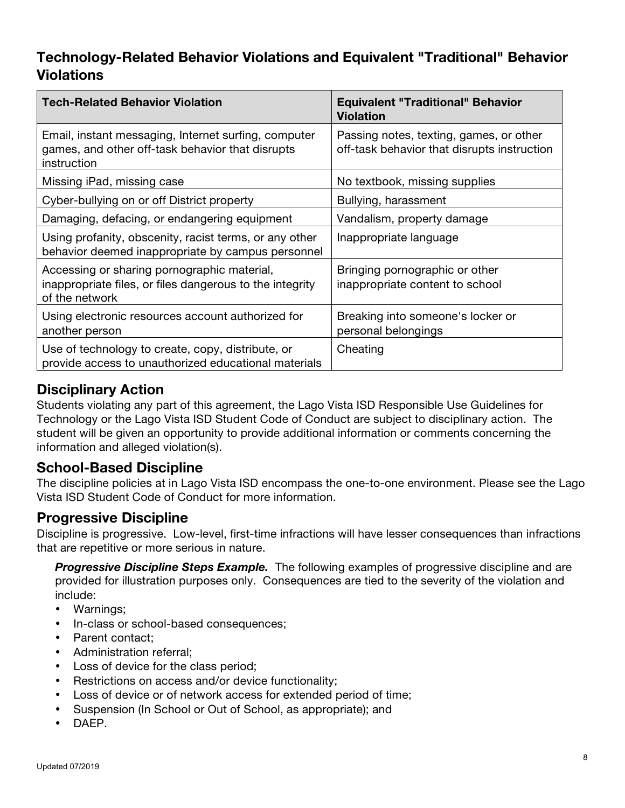## **Technology-Related Behavior Violations and Equivalent "Traditional" Behavior Violations**

| <b>Tech-Related Behavior Violation</b>                                                                                    | <b>Equivalent "Traditional" Behavior</b><br><b>Violation</b>                           |
|---------------------------------------------------------------------------------------------------------------------------|----------------------------------------------------------------------------------------|
| Email, instant messaging, Internet surfing, computer<br>games, and other off-task behavior that disrupts<br>instruction   | Passing notes, texting, games, or other<br>off-task behavior that disrupts instruction |
| Missing iPad, missing case                                                                                                | No textbook, missing supplies                                                          |
| Cyber-bullying on or off District property                                                                                | Bullying, harassment                                                                   |
| Damaging, defacing, or endangering equipment                                                                              | Vandalism, property damage                                                             |
| Using profanity, obscenity, racist terms, or any other<br>behavior deemed inappropriate by campus personnel               | Inappropriate language                                                                 |
| Accessing or sharing pornographic material,<br>inappropriate files, or files dangerous to the integrity<br>of the network | Bringing pornographic or other<br>inappropriate content to school                      |
| Using electronic resources account authorized for<br>another person                                                       | Breaking into someone's locker or<br>personal belongings                               |
| Use of technology to create, copy, distribute, or<br>provide access to unauthorized educational materials                 | Cheating                                                                               |

## **Disciplinary Action**

Students violating any part of this agreement, the Lago Vista ISD Responsible Use Guidelines for Technology or the Lago Vista ISD Student Code of Conduct are subject to disciplinary action. The student will be given an opportunity to provide additional information or comments concerning the information and alleged violation(s).

## **School-Based Discipline**

The discipline policies at in Lago Vista ISD encompass the one-to-one environment. Please see the Lago Vista ISD Student Code of Conduct for more information.

## **Progressive Discipline**

Discipline is progressive. Low-level, first-time infractions will have lesser consequences than infractions that are repetitive or more serious in nature.

**Progressive Discipline Steps Example.** The following examples of progressive discipline and are provided for illustration purposes only. Consequences are tied to the severity of the violation and include:

- Warnings;
- In-class or school-based consequences;
- Parent contact;
- Administration referral;
- Loss of device for the class period;
- Restrictions on access and/or device functionality;
- Loss of device or of network access for extended period of time;
- Suspension (In School or Out of School, as appropriate); and
- DAEP.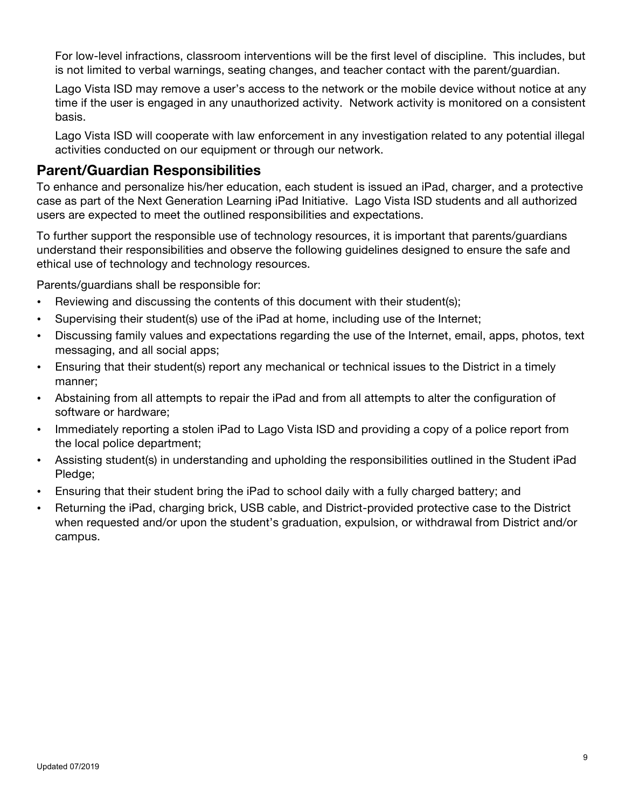For low-level infractions, classroom interventions will be the first level of discipline. This includes, but is not limited to verbal warnings, seating changes, and teacher contact with the parent/guardian.

Lago Vista ISD may remove a user's access to the network or the mobile device without notice at any time if the user is engaged in any unauthorized activity. Network activity is monitored on a consistent basis.

Lago Vista ISD will cooperate with law enforcement in any investigation related to any potential illegal activities conducted on our equipment or through our network.

#### **Parent/Guardian Responsibilities**

To enhance and personalize his/her education, each student is issued an iPad, charger, and a protective case as part of the Next Generation Learning iPad Initiative. Lago Vista ISD students and all authorized users are expected to meet the outlined responsibilities and expectations.

To further support the responsible use of technology resources, it is important that parents/guardians understand their responsibilities and observe the following guidelines designed to ensure the safe and ethical use of technology and technology resources.

Parents/guardians shall be responsible for:

- Reviewing and discussing the contents of this document with their student(s);
- Supervising their student(s) use of the iPad at home, including use of the Internet;
- Discussing family values and expectations regarding the use of the Internet, email, apps, photos, text messaging, and all social apps;
- Ensuring that their student(s) report any mechanical or technical issues to the District in a timely manner;
- Abstaining from all attempts to repair the iPad and from all attempts to alter the configuration of software or hardware;
- Immediately reporting a stolen iPad to Lago Vista ISD and providing a copy of a police report from the local police department;
- Assisting student(s) in understanding and upholding the responsibilities outlined in the Student iPad Pledge;
- Ensuring that their student bring the iPad to school daily with a fully charged battery; and
- Returning the iPad, charging brick, USB cable, and District-provided protective case to the District when requested and/or upon the student's graduation, expulsion, or withdrawal from District and/or campus.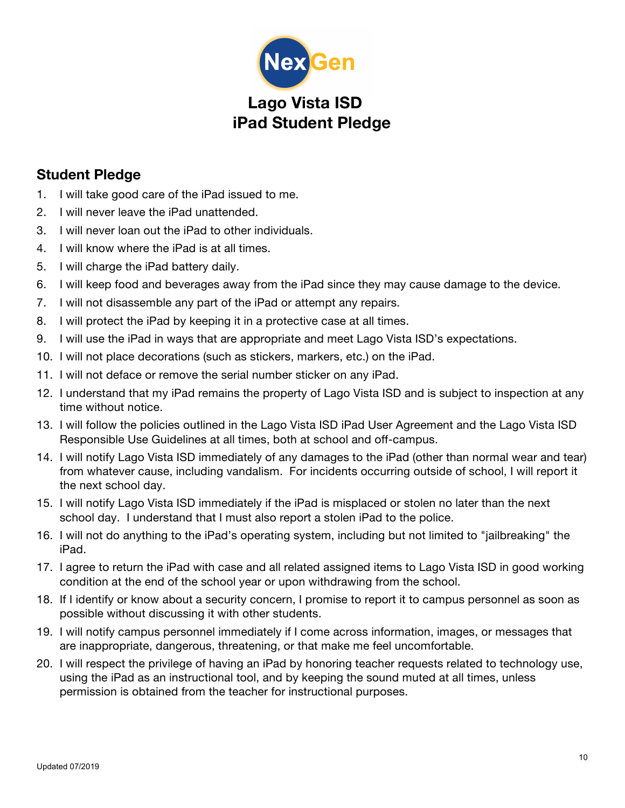

# **Lago Vista ISD iPad Student Pledge**

## **Student Pledge**

- 1. I will take good care of the iPad issued to me.
- 2. I will never leave the iPad unattended.
- 3. I will never loan out the iPad to other individuals.
- 4. I will know where the iPad is at all times.
- 5. I will charge the iPad battery daily.
- 6. I will keep food and beverages away from the iPad since they may cause damage to the device.
- 7. I will not disassemble any part of the iPad or attempt any repairs.
- 8. I will protect the iPad by keeping it in a protective case at all times.
- 9. I will use the iPad in ways that are appropriate and meet Lago Vista ISD's expectations.
- 10. I will not place decorations (such as stickers, markers, etc.) on the iPad.
- 11. I will not deface or remove the serial number sticker on any iPad.
- 12. I understand that my iPad remains the property of Lago Vista ISD and is subject to inspection at any time without notice.
- 13. I will follow the policies outlined in the Lago Vista ISD iPad User Agreement and the Lago Vista ISD Responsible Use Guidelines at all times, both at school and off-campus.
- 14. I will notify Lago Vista ISD immediately of any damages to the iPad (other than normal wear and tear) from whatever cause, including vandalism. For incidents occurring outside of school, I will report it the next school day.
- 15. I will notify Lago Vista ISD immediately if the iPad is misplaced or stolen no later than the next school day. I understand that I must also report a stolen iPad to the police.
- 16. I will not do anything to the iPad's operating system, including but not limited to "jailbreaking" the iPad.
- 17. I agree to return the iPad with case and all related assigned items to Lago Vista ISD in good working condition at the end of the school year or upon withdrawing from the school.
- 18. If I identify or know about a security concern, I promise to report it to campus personnel as soon as possible without discussing it with other students.
- 19. I will notify campus personnel immediately if I come across information, images, or messages that are inappropriate, dangerous, threatening, or that make me feel uncomfortable.
- 20. I will respect the privilege of having an iPad by honoring teacher requests related to technology use, using the iPad as an instructional tool, and by keeping the sound muted at all times, unless permission is obtained from the teacher for instructional purposes.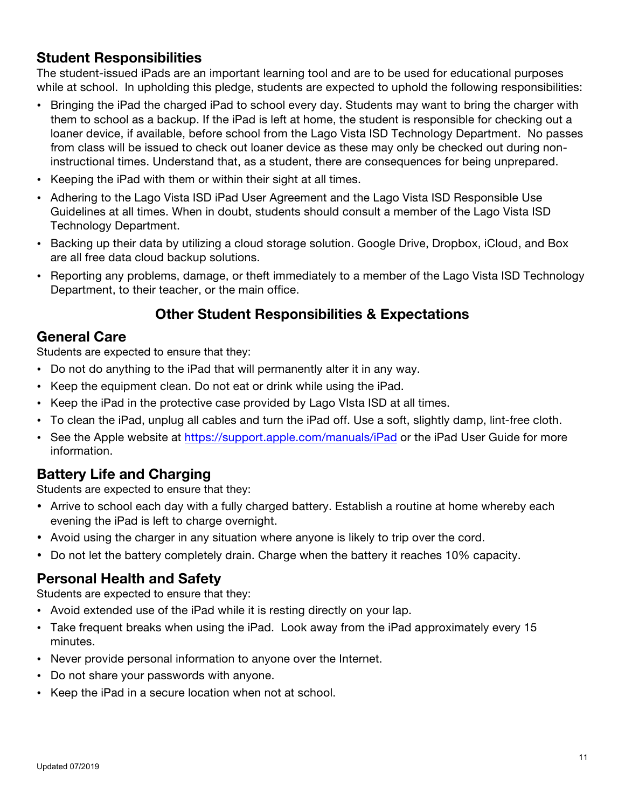## **Student Responsibilities**

The student-issued iPads are an important learning tool and are to be used for educational purposes while at school. In upholding this pledge, students are expected to uphold the following responsibilities:

- Bringing the iPad the charged iPad to school every day. Students may want to bring the charger with them to school as a backup. If the iPad is left at home, the student is responsible for checking out a loaner device, if available, before school from the Lago Vista ISD Technology Department. No passes from class will be issued to check out loaner device as these may only be checked out during noninstructional times. Understand that, as a student, there are consequences for being unprepared.
- Keeping the iPad with them or within their sight at all times.
- Adhering to the Lago Vista ISD iPad User Agreement and the Lago Vista ISD Responsible Use Guidelines at all times. When in doubt, students should consult a member of the Lago Vista ISD Technology Department.
- Backing up their data by utilizing a cloud storage solution. Google Drive, Dropbox, iCloud, and Box are all free data cloud backup solutions.
- Reporting any problems, damage, or theft immediately to a member of the Lago Vista ISD Technology Department, to their teacher, or the main office.

## **Other Student Responsibilities & Expectations**

## **General Care**

Students are expected to ensure that they:

- Do not do anything to the iPad that will permanently alter it in any way.
- Keep the equipment clean. Do not eat or drink while using the iPad.
- Keep the iPad in the protective case provided by Lago VIsta ISD at all times.
- To clean the iPad, unplug all cables and turn the iPad off. Use a soft, slightly damp, lint-free cloth.
- See the Apple website at https://support.apple.com/manuals/iPad or the iPad User Guide for more information.

## **Battery Life and Charging**

Students are expected to ensure that they:

- Arrive to school each day with a fully charged battery. Establish a routine at home whereby each evening the iPad is left to charge overnight.
- Avoid using the charger in any situation where anyone is likely to trip over the cord.
- Do not let the battery completely drain. Charge when the battery it reaches 10% capacity.

## **Personal Health and Safety**

Students are expected to ensure that they:

- Avoid extended use of the iPad while it is resting directly on your lap.
- Take frequent breaks when using the iPad. Look away from the iPad approximately every 15 minutes.
- Never provide personal information to anyone over the Internet.
- Do not share your passwords with anyone.
- Keep the iPad in a secure location when not at school.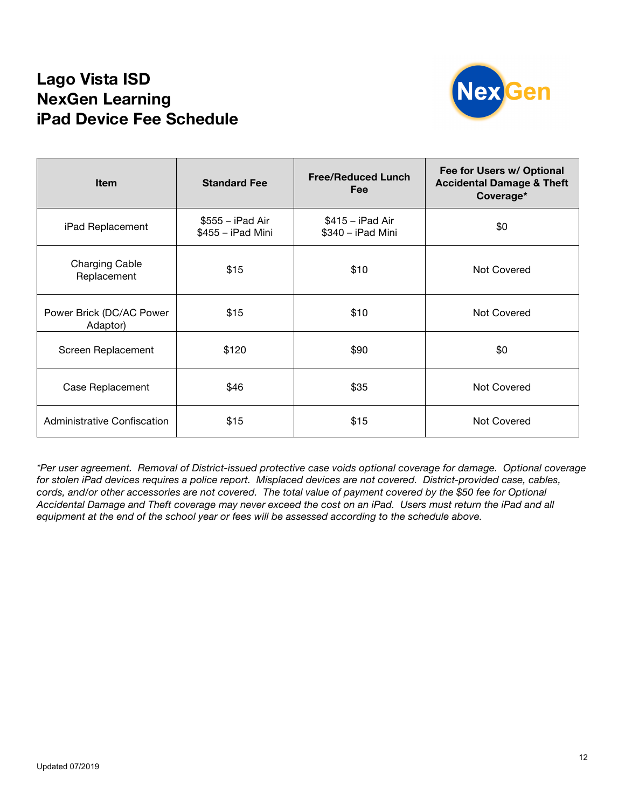## **Lago Vista ISD NexGen Learning iPad Device Fee Schedule**



| <b>Item</b>                          | <b>Free/Reduced Lunch</b><br><b>Standard Fee</b><br>Fee |                                         | Fee for Users w/ Optional<br><b>Accidental Damage &amp; Theft</b><br>Coverage* |
|--------------------------------------|---------------------------------------------------------|-----------------------------------------|--------------------------------------------------------------------------------|
| iPad Replacement                     | $$555 - i$ Pad Air<br>\$455 - iPad Mini                 | $$415 - i$ Pad Air<br>\$340 - iPad Mini | \$0                                                                            |
| <b>Charging Cable</b><br>Replacement | \$15                                                    | \$10                                    | Not Covered                                                                    |
| Power Brick (DC/AC Power<br>Adaptor) | \$15                                                    | \$10                                    | Not Covered                                                                    |
| Screen Replacement                   | \$120                                                   | \$90                                    | \$0                                                                            |
| Case Replacement                     | \$46                                                    | \$35                                    | Not Covered                                                                    |
| Administrative Confiscation          | \$15                                                    | \$15                                    | <b>Not Covered</b>                                                             |

*\*Per user agreement. Removal of District-issued protective case voids optional coverage for damage. Optional coverage for stolen iPad devices requires a police report. Misplaced devices are not covered. District-provided case, cables, cords, and/or other accessories are not covered. The total value of payment covered by the \$50 fee for Optional Accidental Damage and Theft coverage may never exceed the cost on an iPad. Users must return the iPad and all equipment at the end of the school year or fees will be assessed according to the schedule above.*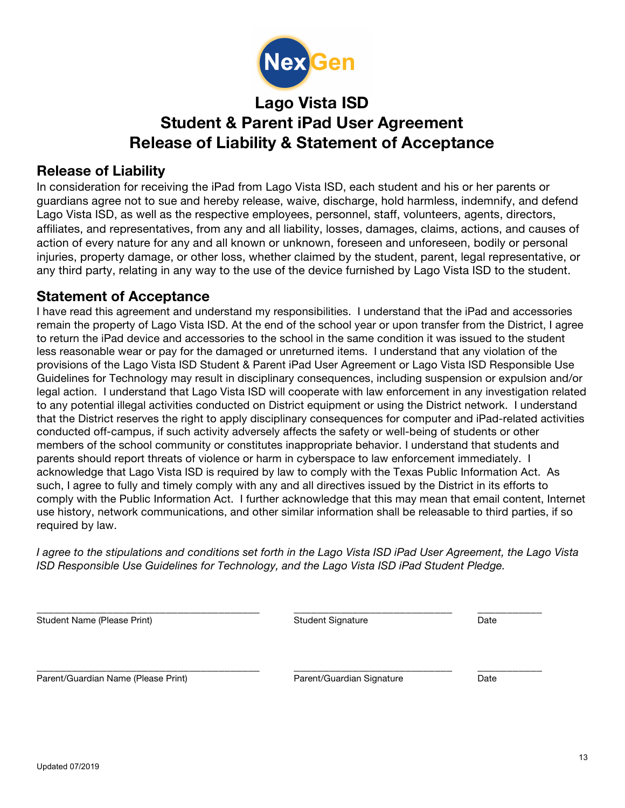

# **Lago Vista ISD Student & Parent iPad User Agreement Release of Liability & Statement of Acceptance**

#### **Release of Liability**

In consideration for receiving the iPad from Lago Vista ISD, each student and his or her parents or guardians agree not to sue and hereby release, waive, discharge, hold harmless, indemnify, and defend Lago Vista ISD, as well as the respective employees, personnel, staff, volunteers, agents, directors, affiliates, and representatives, from any and all liability, losses, damages, claims, actions, and causes of action of every nature for any and all known or unknown, foreseen and unforeseen, bodily or personal injuries, property damage, or other loss, whether claimed by the student, parent, legal representative, or any third party, relating in any way to the use of the device furnished by Lago Vista ISD to the student.

#### **Statement of Acceptance**

I have read this agreement and understand my responsibilities. I understand that the iPad and accessories remain the property of Lago Vista ISD. At the end of the school year or upon transfer from the District, I agree to return the iPad device and accessories to the school in the same condition it was issued to the student less reasonable wear or pay for the damaged or unreturned items. I understand that any violation of the provisions of the Lago Vista ISD Student & Parent iPad User Agreement or Lago Vista ISD Responsible Use Guidelines for Technology may result in disciplinary consequences, including suspension or expulsion and/or legal action. I understand that Lago Vista ISD will cooperate with law enforcement in any investigation related to any potential illegal activities conducted on District equipment or using the District network. I understand that the District reserves the right to apply disciplinary consequences for computer and iPad-related activities conducted off-campus, if such activity adversely affects the safety or well-being of students or other members of the school community or constitutes inappropriate behavior. I understand that students and parents should report threats of violence or harm in cyberspace to law enforcement immediately. I acknowledge that Lago Vista ISD is required by law to comply with the Texas Public Information Act. As such, I agree to fully and timely comply with any and all directives issued by the District in its efforts to comply with the Public Information Act. I further acknowledge that this may mean that email content, Internet use history, network communications, and other similar information shall be releasable to third parties, if so required by law.

*I agree to the stipulations and conditions set forth in the Lago Vista ISD iPad User Agreement, the Lago Vista ISD Responsible Use Guidelines for Technology, and the Lago Vista ISD iPad Student Pledge.*

| Student Name (Please Print)         | <b>Student Signature</b>  | Date |
|-------------------------------------|---------------------------|------|
|                                     |                           |      |
| Parent/Guardian Name (Please Print) | Parent/Guardian Signature | Date |